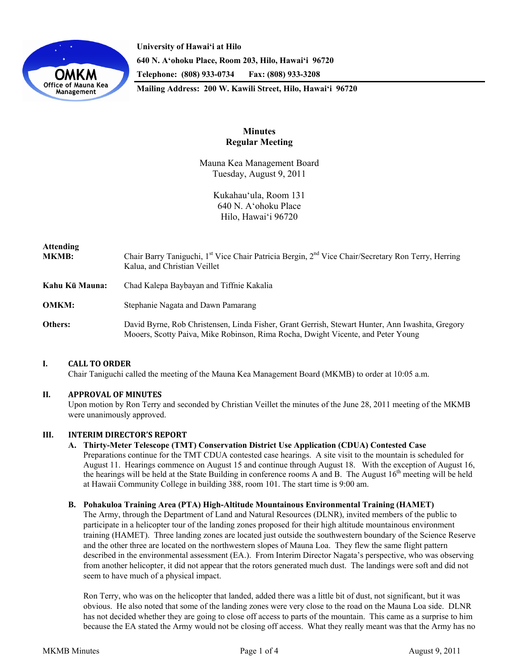

**University of Hawai'i at Hilo 640 N. A'ohoku Place, Room 203, Hilo, Hawai'i 96720 Telephone: (808) 933-0734 Fax: (808) 933-3208 Mailing Address: 200 W. Kawili Street, Hilo, Hawai'i 96720** 

# **Minutes Regular Meeting**

Mauna Kea Management Board Tuesday, August 9, 2011

> Kukahau'ula, Room 131 640 N. A'ohoku Place Hilo, Hawai'i 96720

| <b>Attending</b><br><b>MKMB:</b> | Chair Barry Taniguchi, 1 <sup>st</sup> Vice Chair Patricia Bergin, 2 <sup>nd</sup> Vice Chair/Secretary Ron Terry, Herring<br>Kalua, and Christian Veillet                           |  |
|----------------------------------|--------------------------------------------------------------------------------------------------------------------------------------------------------------------------------------|--|
| Kahu Kū Mauna:                   | Chad Kalepa Baybayan and Tiffnie Kakalia                                                                                                                                             |  |
| <b>OMKM:</b>                     | Stephanie Nagata and Dawn Pamarang                                                                                                                                                   |  |
| Others:                          | David Byrne, Rob Christensen, Linda Fisher, Grant Gerrish, Stewart Hunter, Ann Iwashita, Gregory<br>Mooers, Scotty Paiva, Mike Robinson, Rima Rocha, Dwight Vicente, and Peter Young |  |

# **I. CALL TO ORDER**

Chair Taniguchi called the meeting of the Mauna Kea Management Board (MKMB) to order at 10:05 a.m.

# **II. APPROVAL OF MINUTES**

Upon motion by Ron Terry and seconded by Christian Veillet the minutes of the June 28, 2011 meeting of the MKMB were unanimously approved.

# **III. INTERIM DIRECTOR'S REPORT**

# **A. Thirty-Meter Telescope (TMT) Conservation District Use Application (CDUA) Contested Case**

Preparations continue for the TMT CDUA contested case hearings. A site visit to the mountain is scheduled for August 11. Hearings commence on August 15 and continue through August 18. With the exception of August 16, the hearings will be held at the State Building in conference rooms A and B. The August 16<sup>th</sup> meeting will be held at Hawaii Community College in building 388, room 101. The start time is 9:00 am.

**B. Pohakuloa Training Area (PTA) High-Altitude Mountainous Environmental Training (HAMET)** 

The Army, through the Department of Land and Natural Resources (DLNR), invited members of the public to participate in a helicopter tour of the landing zones proposed for their high altitude mountainous environment training (HAMET). Three landing zones are located just outside the southwestern boundary of the Science Reserve and the other three are located on the northwestern slopes of Mauna Loa. They flew the same flight pattern described in the environmental assessment (EA.). From Interim Director Nagata's perspective, who was observing from another helicopter, it did not appear that the rotors generated much dust. The landings were soft and did not seem to have much of a physical impact.

Ron Terry, who was on the helicopter that landed, added there was a little bit of dust, not significant, but it was obvious. He also noted that some of the landing zones were very close to the road on the Mauna Loa side. DLNR has not decided whether they are going to close off access to parts of the mountain. This came as a surprise to him because the EA stated the Army would not be closing off access. What they really meant was that the Army has no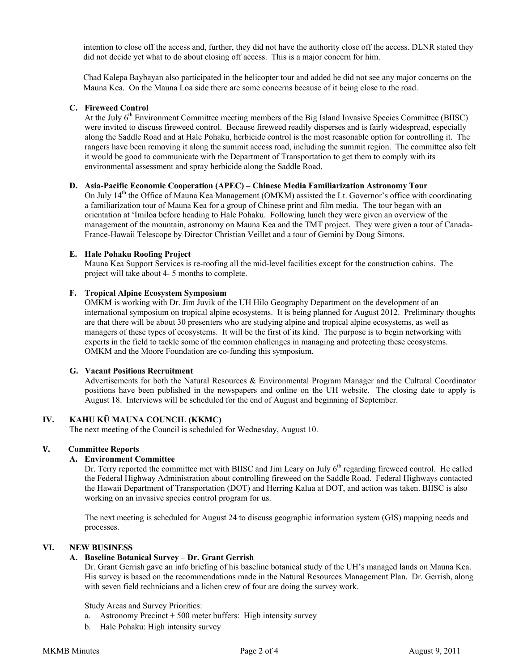intention to close off the access and, further, they did not have the authority close off the access. DLNR stated they did not decide yet what to do about closing off access. This is a major concern for him.

Chad Kalepa Baybayan also participated in the helicopter tour and added he did not see any major concerns on the Mauna Kea. On the Mauna Loa side there are some concerns because of it being close to the road.

## **C. Fireweed Control**

At the July 6<sup>th</sup> Environment Committee meeting members of the Big Island Invasive Species Committee (BIISC) were invited to discuss fireweed control. Because fireweed readily disperses and is fairly widespread, especially along the Saddle Road and at Hale Pohaku, herbicide control is the most reasonable option for controlling it. The rangers have been removing it along the summit access road, including the summit region. The committee also felt it would be good to communicate with the Department of Transportation to get them to comply with its environmental assessment and spray herbicide along the Saddle Road.

## **D. Asia-Pacific Economic Cooperation (APEC) – Chinese Media Familiarization Astronomy Tour**

On July 14<sup>th</sup> the Office of Mauna Kea Management (OMKM) assisted the Lt. Governor's office with coordinating a familiarization tour of Mauna Kea for a group of Chinese print and film media. The tour began with an orientation at ʻImiloa before heading to Hale Pohaku. Following lunch they were given an overview of the management of the mountain, astronomy on Mauna Kea and the TMT project. They were given a tour of Canada-France-Hawaii Telescope by Director Christian Veillet and a tour of Gemini by Doug Simons.

## **E. Hale Pohaku Roofing Project**

Mauna Kea Support Services is re-roofing all the mid-level facilities except for the construction cabins. The project will take about 4- 5 months to complete.

## **F. Tropical Alpine Ecosystem Symposium**

OMKM is working with Dr. Jim Juvik of the UH Hilo Geography Department on the development of an international symposium on tropical alpine ecosystems. It is being planned for August 2012. Preliminary thoughts are that there will be about 30 presenters who are studying alpine and tropical alpine ecosystems, as well as managers of these types of ecosystems. It will be the first of its kind. The purpose is to begin networking with experts in the field to tackle some of the common challenges in managing and protecting these ecosystems. OMKM and the Moore Foundation are co-funding this symposium.

#### **G. Vacant Positions Recruitment**

Advertisements for both the Natural Resources & Environmental Program Manager and the Cultural Coordinator positions have been published in the newspapers and online on the UH website. The closing date to apply is August 18. Interviews will be scheduled for the end of August and beginning of September.

# **IV. KAHU KŪ MAUNA COUNCIL (KKMC)**

The next meeting of the Council is scheduled for Wednesday, August 10.

# **V. Committee Reports**

### **A. Environment Committee**

Dr. Terry reported the committee met with BIISC and Jim Leary on July 6<sup>th</sup> regarding fireweed control. He called the Federal Highway Administration about controlling fireweed on the Saddle Road. Federal Highways contacted the Hawaii Department of Transportation (DOT) and Herring Kalua at DOT, and action was taken. BIISC is also working on an invasive species control program for us.

The next meeting is scheduled for August 24 to discuss geographic information system (GIS) mapping needs and processes.

# **VI. NEW BUSINESS**

# **A. Baseline Botanical Survey – Dr. Grant Gerrish**

Dr. Grant Gerrish gave an info briefing of his baseline botanical study of the UH's managed lands on Mauna Kea. His survey is based on the recommendations made in the Natural Resources Management Plan. Dr. Gerrish, along with seven field technicians and a lichen crew of four are doing the survey work.

Study Areas and Survey Priorities:

- a. Astronomy Precinct + 500 meter buffers: High intensity survey
- b. Hale Pohaku: High intensity survey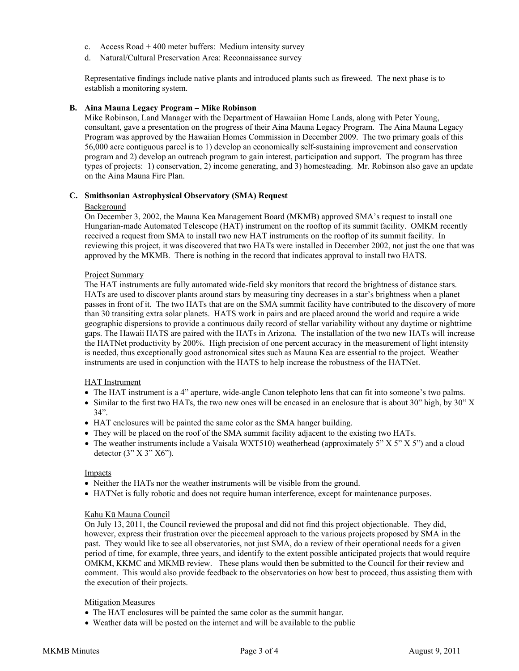- c. Access Road + 400 meter buffers: Medium intensity survey
- d. Natural/Cultural Preservation Area: Reconnaissance survey

Representative findings include native plants and introduced plants such as fireweed. The next phase is to establish a monitoring system.

## **B. Aina Mauna Legacy Program – Mike Robinson**

Mike Robinson, Land Manager with the Department of Hawaiian Home Lands, along with Peter Young, consultant, gave a presentation on the progress of their Aina Mauna Legacy Program. The Aina Mauna Legacy Program was approved by the Hawaiian Homes Commission in December 2009. The two primary goals of this 56,000 acre contiguous parcel is to 1) develop an economically self-sustaining improvement and conservation program and 2) develop an outreach program to gain interest, participation and support. The program has three types of projects: 1) conservation, 2) income generating, and 3) homesteading. Mr. Robinson also gave an update on the Aina Mauna Fire Plan.

### **C. Smithsonian Astrophysical Observatory (SMA) Request**

## **Background**

On December 3, 2002, the Mauna Kea Management Board (MKMB) approved SMA's request to install one Hungarian-made Automated Telescope (HAT) instrument on the rooftop of its summit facility. OMKM recently received a request from SMA to install two new HAT instruments on the rooftop of its summit facility. In reviewing this project, it was discovered that two HATs were installed in December 2002, not just the one that was approved by the MKMB. There is nothing in the record that indicates approval to install two HATS.

## Project Summary

The HAT instruments are fully automated wide-field sky monitors that record the brightness of distance stars. HATs are used to discover plants around stars by measuring tiny decreases in a star's brightness when a planet passes in front of it. The two HATs that are on the SMA summit facility have contributed to the discovery of more than 30 transiting extra solar planets. HATS work in pairs and are placed around the world and require a wide geographic dispersions to provide a continuous daily record of stellar variability without any daytime or nighttime gaps. The Hawaii HATS are paired with the HATs in Arizona. The installation of the two new HATs will increase the HATNet productivity by 200%. High precision of one percent accuracy in the measurement of light intensity is needed, thus exceptionally good astronomical sites such as Mauna Kea are essential to the project. Weather instruments are used in conjunction with the HATS to help increase the robustness of the HATNet.

#### HAT Instrument

- The HAT instrument is a 4" aperture, wide-angle Canon telephoto lens that can fit into someone's two palms.
- Similar to the first two HATs, the two new ones will be encased in an enclosure that is about 30" high, by 30" X 34".
- HAT enclosures will be painted the same color as the SMA hanger building.
- They will be placed on the roof of the SMA summit facility adjacent to the existing two HATs.
- The weather instruments include a Vaisala WXT510) weatherhead (approximately 5"  $X$  5"  $X$  5") and a cloud detector  $(3" X 3" X6")$ .

#### Impacts

- Neither the HATs nor the weather instruments will be visible from the ground.
- HATNet is fully robotic and does not require human interference, except for maintenance purposes.

# Kahu Kū Mauna Council

On July 13, 2011, the Council reviewed the proposal and did not find this project objectionable. They did, however, express their frustration over the piecemeal approach to the various projects proposed by SMA in the past. They would like to see all observatories, not just SMA, do a review of their operational needs for a given period of time, for example, three years, and identify to the extent possible anticipated projects that would require OMKM, KKMC and MKMB review. These plans would then be submitted to the Council for their review and comment. This would also provide feedback to the observatories on how best to proceed, thus assisting them with the execution of their projects.

# Mitigation Measures

- The HAT enclosures will be painted the same color as the summit hangar.
- Weather data will be posted on the internet and will be available to the public